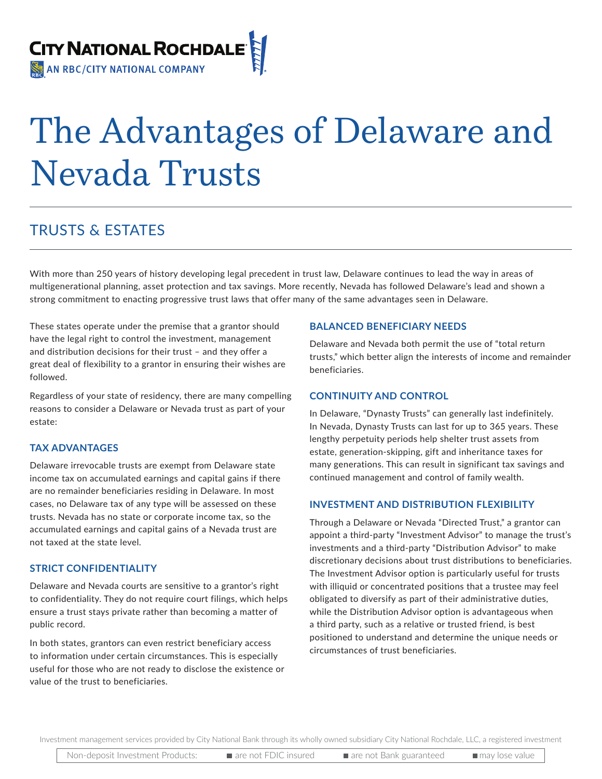

# The Advantages of Delaware and Nevada Trusts

# TRUSTS & ESTATES

With more than 250 years of history developing legal precedent in trust law, Delaware continues to lead the way in areas of multigenerational planning, asset protection and tax savings. More recently, Nevada has followed Delaware's lead and shown a strong commitment to enacting progressive trust laws that offer many of the same advantages seen in Delaware.

These states operate under the premise that a grantor should have the legal right to control the investment, management and distribution decisions for their trust – and they offer a great deal of flexibility to a grantor in ensuring their wishes are followed.

Regardless of your state of residency, there are many compelling reasons to consider a Delaware or Nevada trust as part of your estate:

#### **TAX ADVANTAGES**

Delaware irrevocable trusts are exempt from Delaware state income tax on accumulated earnings and capital gains if there are no remainder beneficiaries residing in Delaware. In most cases, no Delaware tax of any type will be assessed on these trusts. Nevada has no state or corporate income tax, so the accumulated earnings and capital gains of a Nevada trust are not taxed at the state level.

#### **STRICT CONFIDENTIALITY**

Delaware and Nevada courts are sensitive to a grantor's right to confidentiality. They do not require court filings, which helps ensure a trust stays private rather than becoming a matter of public record.

In both states, grantors can even restrict beneficiary access to information under certain circumstances. This is especially useful for those who are not ready to disclose the existence or value of the trust to beneficiaries.

#### **BALANCED BENEFICIARY NEEDS**

Delaware and Nevada both permit the use of "total return trusts," which better align the interests of income and remainder beneficiaries.

#### **CONTINUITY AND CONTROL**

In Delaware, "Dynasty Trusts" can generally last indefinitely. In Nevada, Dynasty Trusts can last for up to 365 years. These lengthy perpetuity periods help shelter trust assets from estate, generation-skipping, gift and inheritance taxes for many generations. This can result in significant tax savings and continued management and control of family wealth.

#### **INVESTMENT AND DISTRIBUTION FLEXIBILITY**

Through a Delaware or Nevada "Directed Trust," a grantor can appoint a third-party "Investment Advisor" to manage the trust's investments and a third-party "Distribution Advisor" to make discretionary decisions about trust distributions to beneficiaries. The Investment Advisor option is particularly useful for trusts with illiquid or concentrated positions that a trustee may feel obligated to diversify as part of their administrative duties, while the Distribution Advisor option is advantageous when a third party, such as a relative or trusted friend, is best positioned to understand and determine the unique needs or circumstances of trust beneficiaries.

Investment management services provided by City National Bank through its wholly owned subsidiary City National Rochdale, LLC, a registered investment